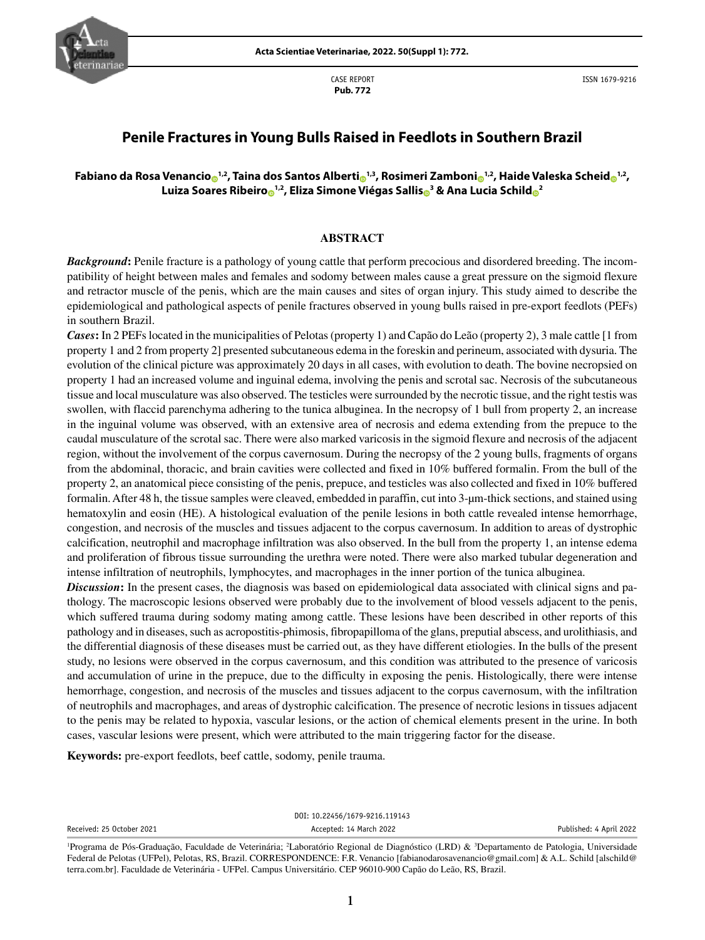

CASE REPORT **Pub. 772**

ISSN 1679-9216

# **Penile Fractures in Young Bulls Raised in Feedlots in Southern Brazil**

## **Fabiano da Rosa Venancio [1](http://orcid.org/0000-0002-4769-9360),2, Taina dos Santos Alberti [1](http://orcid.org/0000-0001-7568-8143),3, Rosimeri Zambon[i](https://orcid.org/0000-0003-0709-660X) 1,2, Haide Valeska Schei[d](http://orcid.org/0000-0001-7855-6410) 1,2, Luiza Soares Ribeir[o](http://orcid.org/0000-0002-2837-2645) 1,2, Eliza Simone Viégas Salli[s](http://orcid.org/0000-0003-3033-9876) <sup>3</sup> & Ana Lucia Schil[d](http://orcid.org/0000-0003-2470-4785) <sup>2</sup>**

#### **ABSTRACT**

*Background*: Penile fracture is a pathology of young cattle that perform precocious and disordered breeding. The incompatibility of height between males and females and sodomy between males cause a great pressure on the sigmoid flexure and retractor muscle of the penis, which are the main causes and sites of organ injury. This study aimed to describe the epidemiological and pathological aspects of penile fractures observed in young bulls raised in pre-export feedlots (PEFs) in southern Brazil.

*Cases***:** In 2 PEFs located in the municipalities of Pelotas (property 1) and Capão do Leão (property 2), 3 male cattle [1 from property 1 and 2 from property 2] presented subcutaneous edema in the foreskin and perineum, associated with dysuria. The evolution of the clinical picture was approximately 20 days in all cases, with evolution to death. The bovine necropsied on property 1 had an increased volume and inguinal edema, involving the penis and scrotal sac. Necrosis of the subcutaneous tissue and local musculature was also observed. The testicles were surrounded by the necrotic tissue, and the right testis was swollen, with flaccid parenchyma adhering to the tunica albuginea. In the necropsy of 1 bull from property 2, an increase in the inguinal volume was observed, with an extensive area of necrosis and edema extending from the prepuce to the caudal musculature of the scrotal sac. There were also marked varicosis in the sigmoid flexure and necrosis of the adjacent region, without the involvement of the corpus cavernosum. During the necropsy of the 2 young bulls, fragments of organs from the abdominal, thoracic, and brain cavities were collected and fixed in 10% buffered formalin. From the bull of the property 2, an anatomical piece consisting of the penis, prepuce, and testicles was also collected and fixed in 10% buffered formalin. After 48 h, the tissue samples were cleaved, embedded in paraffin, cut into 3-µm-thick sections, and stained using hematoxylin and eosin (HE). A histological evaluation of the penile lesions in both cattle revealed intense hemorrhage, congestion, and necrosis of the muscles and tissues adjacent to the corpus cavernosum. In addition to areas of dystrophic calcification, neutrophil and macrophage infiltration was also observed. In the bull from the property 1, an intense edema and proliferation of fibrous tissue surrounding the urethra were noted. There were also marked tubular degeneration and intense infiltration of neutrophils, lymphocytes, and macrophages in the inner portion of the tunica albuginea.

*Discussion*: In the present cases, the diagnosis was based on epidemiological data associated with clinical signs and pathology. The macroscopic lesions observed were probably due to the involvement of blood vessels adjacent to the penis, which suffered trauma during sodomy mating among cattle. These lesions have been described in other reports of this pathology and in diseases, such as acropostitis-phimosis, fibropapilloma of the glans, preputial abscess, and urolithiasis, and the differential diagnosis of these diseases must be carried out, as they have different etiologies. In the bulls of the present study, no lesions were observed in the corpus cavernosum, and this condition was attributed to the presence of varicosis and accumulation of urine in the prepuce, due to the difficulty in exposing the penis. Histologically, there were intense hemorrhage, congestion, and necrosis of the muscles and tissues adjacent to the corpus cavernosum, with the infiltration of neutrophils and macrophages, and areas of dystrophic calcification. The presence of necrotic lesions in tissues adjacent to the penis may be related to hypoxia, vascular lesions, or the action of chemical elements present in the urine. In both cases, vascular lesions were present, which were attributed to the main triggering factor for the disease.

**Keywords:** pre-export feedlots, beef cattle, sodomy, penile trauma.

|                           | DOI: 10.22456/1679-9216.119143 |                         |
|---------------------------|--------------------------------|-------------------------|
| Received: 25 October 2021 | Accepted: 14 March 2022        | Published: 4 April 2022 |
|                           |                                |                         |

<sup>&</sup>lt;sup>1</sup>Programa de Pós-Graduação, Faculdade de Veterinária; <sup>2</sup>Laboratório Regional de Diagnóstico (LRD) & <sup>3</sup>Departamento de Patologia, Universidade Federal de Pelotas (UFPel), Pelotas, RS, Brazil. CORRESPONDENCE: F.R. Venancio [fabianodarosavenancio@gmail.com] & A.L. Schild [alschild@ terra.com.br]. Faculdade de Veterinária - UFPel. Campus Universitário. CEP 96010-900 Capão do Leão, RS, Brazil.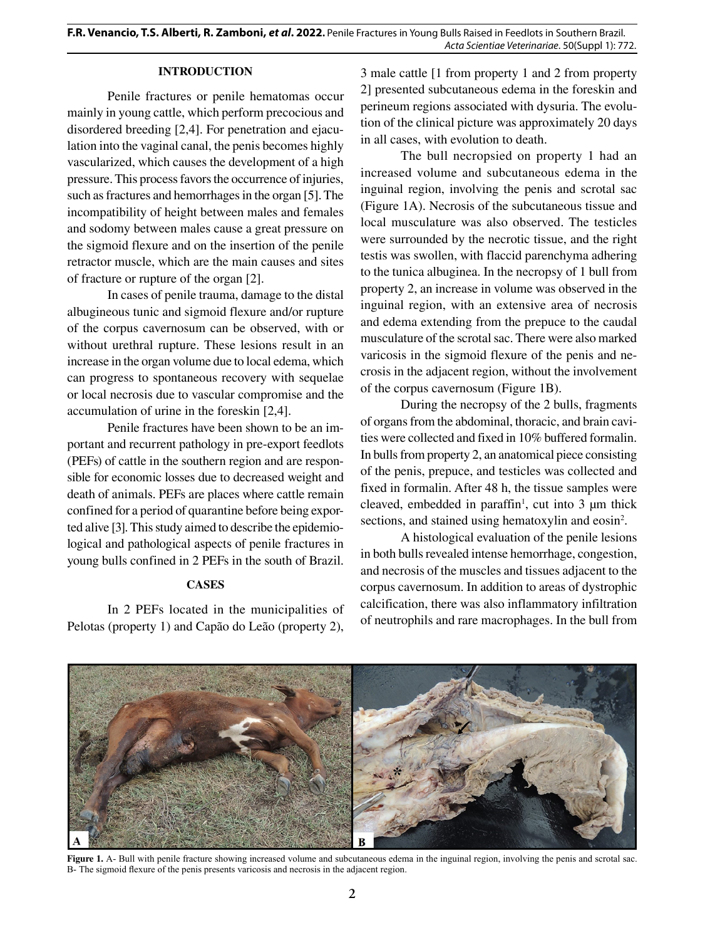#### **INTRODUCTION**

Penile fractures or penile hematomas occur mainly in young cattle, which perform precocious and disordered breeding [2,4]. For penetration and ejaculation into the vaginal canal, the penis becomes highly vascularized, which causes the development of a high pressure. This process favors the occurrence of injuries, such as fractures and hemorrhages in the organ [5]. The incompatibility of height between males and females and sodomy between males cause a great pressure on the sigmoid flexure and on the insertion of the penile retractor muscle, which are the main causes and sites of fracture or rupture of the organ [2].

In cases of penile trauma, damage to the distal albugineous tunic and sigmoid flexure and/or rupture of the corpus cavernosum can be observed, with or without urethral rupture. These lesions result in an increase in the organ volume due to local edema, which can progress to spontaneous recovery with sequelae or local necrosis due to vascular compromise and the accumulation of urine in the foreskin [2,4].

Penile fractures have been shown to be an important and recurrent pathology in pre-export feedlots (PEFs) of cattle in the southern region and are responsible for economic losses due to decreased weight and death of animals. PEFs are places where cattle remain confined for a period of quarantine before being exported alive [3]. This study aimed to describe the epidemiological and pathological aspects of penile fractures in young bulls confined in 2 PEFs in the south of Brazil.

### **CASES**

In 2 PEFs located in the municipalities of Pelotas (property 1) and Capão do Leão (property 2), 3 male cattle [1 from property 1 and 2 from property 2] presented subcutaneous edema in the foreskin and perineum regions associated with dysuria. The evolution of the clinical picture was approximately 20 days in all cases, with evolution to death.

The bull necropsied on property 1 had an increased volume and subcutaneous edema in the inguinal region, involving the penis and scrotal sac (Figure 1A). Necrosis of the subcutaneous tissue and local musculature was also observed. The testicles were surrounded by the necrotic tissue, and the right testis was swollen, with flaccid parenchyma adhering to the tunica albuginea. In the necropsy of 1 bull from property 2, an increase in volume was observed in the inguinal region, with an extensive area of necrosis and edema extending from the prepuce to the caudal musculature of the scrotal sac. There were also marked varicosis in the sigmoid flexure of the penis and necrosis in the adjacent region, without the involvement of the corpus cavernosum (Figure 1B).

During the necropsy of the 2 bulls, fragments of organs from the abdominal, thoracic, and brain cavities were collected and fixed in 10% buffered formalin. In bulls from property 2, an anatomical piece consisting of the penis, prepuce, and testicles was collected and fixed in formalin. After 48 h, the tissue samples were cleaved, embedded in paraffin<sup>1</sup>, cut into  $3 \mu m$  thick sections, and stained using hematoxylin and eosin<sup>2</sup>.

A histological evaluation of the penile lesions in both bulls revealed intense hemorrhage, congestion, and necrosis of the muscles and tissues adjacent to the corpus cavernosum. In addition to areas of dystrophic calcification, there was also inflammatory infiltration of neutrophils and rare macrophages. In the bull from



Figure 1. A- Bull with penile fracture showing increased volume and subcutaneous edema in the inguinal region, involving the penis and scrotal sac. B- The sigmoid flexure of the penis presents varicosis and necrosis in the adjacent region.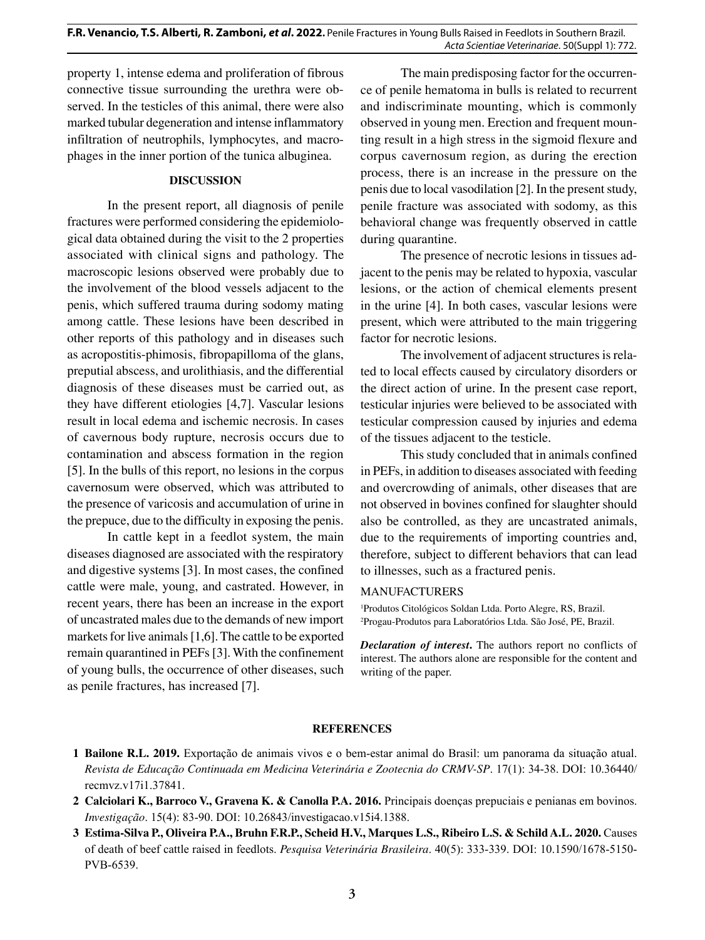property 1, intense edema and proliferation of fibrous connective tissue surrounding the urethra were observed. In the testicles of this animal, there were also marked tubular degeneration and intense inflammatory infiltration of neutrophils, lymphocytes, and macrophages in the inner portion of the tunica albuginea.

#### **DISCUSSION**

In the present report, all diagnosis of penile fractures were performed considering the epidemiological data obtained during the visit to the 2 properties associated with clinical signs and pathology. The macroscopic lesions observed were probably due to the involvement of the blood vessels adjacent to the penis, which suffered trauma during sodomy mating among cattle. These lesions have been described in other reports of this pathology and in diseases such as acropostitis-phimosis, fibropapilloma of the glans, preputial abscess, and urolithiasis, and the differential diagnosis of these diseases must be carried out, as they have different etiologies [4,7]. Vascular lesions result in local edema and ischemic necrosis. In cases of cavernous body rupture, necrosis occurs due to contamination and abscess formation in the region [5]. In the bulls of this report, no lesions in the corpus cavernosum were observed, which was attributed to the presence of varicosis and accumulation of urine in the prepuce, due to the difficulty in exposing the penis.

In cattle kept in a feedlot system, the main diseases diagnosed are associated with the respiratory and digestive systems [3]. In most cases, the confined cattle were male, young, and castrated. However, in recent years, there has been an increase in the export of uncastrated males due to the demands of new import markets for live animals [1,6]. The cattle to be exported remain quarantined in PEFs [3]. With the confinement of young bulls, the occurrence of other diseases, such as penile fractures, has increased [7].

The main predisposing factor for the occurrence of penile hematoma in bulls is related to recurrent and indiscriminate mounting, which is commonly observed in young men. Erection and frequent mounting result in a high stress in the sigmoid flexure and corpus cavernosum region, as during the erection process, there is an increase in the pressure on the penis due to local vasodilation [2]. In the present study, penile fracture was associated with sodomy, as this behavioral change was frequently observed in cattle during quarantine.

The presence of necrotic lesions in tissues adjacent to the penis may be related to hypoxia, vascular lesions, or the action of chemical elements present in the urine [4]. In both cases, vascular lesions were present, which were attributed to the main triggering factor for necrotic lesions.

The involvement of adjacent structures is related to local effects caused by circulatory disorders or the direct action of urine. In the present case report, testicular injuries were believed to be associated with testicular compression caused by injuries and edema of the tissues adjacent to the testicle.

This study concluded that in animals confined in PEFs, in addition to diseases associated with feeding and overcrowding of animals, other diseases that are not observed in bovines confined for slaughter should also be controlled, as they are uncastrated animals, due to the requirements of importing countries and, therefore, subject to different behaviors that can lead to illnesses, such as a fractured penis.

### MANUFACTURERS

1 Produtos Citológicos Soldan Ltda. Porto Alegre, RS, Brazil. 2 Progau-Produtos para Laboratórios Ltda. São José, PE, Brazil.

*Declaration of interest***.** The authors report no conflicts of interest. The authors alone are responsible for the content and writing of the paper.

### **REFERENCES**

- **1 Bailone R.L. 2019.** Exportação de animais vivos e o bem-estar animal do Brasil: um panorama da situação atual. *Revista de Educação Continuada em Medicina Veterinária e Zootecnia do CRMV-SP*. 17(1): 34-38. DOI: 10.36440/ recmvz.v17i1.37841.
- **2 Calciolari K., Barroco V., Gravena K. & Canolla P.A. 2016.** Principais doenças prepuciais e penianas em bovinos. *Investigação*. 15(4): 83-90. DOI: [10.26843/investigacao.v15i4.1388.](https://doi.org/10.26843/investigacao.v15i4.1388)
- **3 Estima-Silva P., Oliveira P.A., Bruhn F.R.P., Scheid H.V., Marques L.S., Ribeiro L.S. & Schild A.L. 2020.** Causes of death of beef cattle raised in feedlots. *Pesquisa Veterinária Brasileira*. 40(5): 333-339. DOI: 10.1590/1678-5150- PVB-6539.